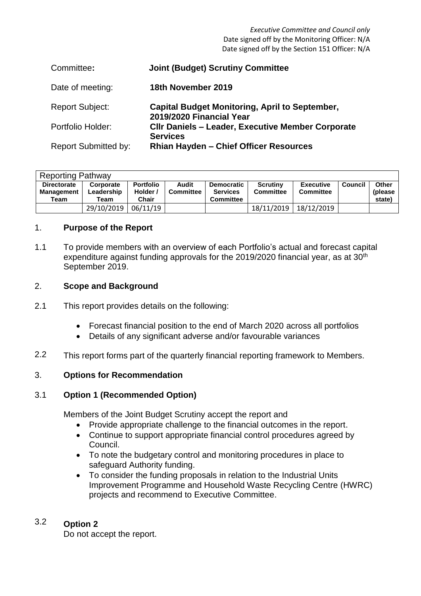*Executive Committee and Council only* Date signed off by the Monitoring Officer: N/A Date signed off by the Section 151 Officer: N/A

| Committee:                  | <b>Joint (Budget) Scrutiny Committee</b>                                          |
|-----------------------------|-----------------------------------------------------------------------------------|
| Date of meeting:            | 18th November 2019                                                                |
| <b>Report Subject:</b>      | <b>Capital Budget Monitoring, April to September,</b><br>2019/2020 Financial Year |
| Portfolio Holder:           | <b>CIIr Daniels - Leader, Executive Member Corporate</b><br><b>Services</b>       |
| <b>Report Submitted by:</b> | <b>Rhian Hayden - Chief Officer Resources</b>                                     |

| <b>Reporting Pathway</b>                        |                                 |                                       |                           |                                                          |                                     |                                      |         |                                    |  |
|-------------------------------------------------|---------------------------------|---------------------------------------|---------------------------|----------------------------------------------------------|-------------------------------------|--------------------------------------|---------|------------------------------------|--|
| <b>Directorate</b><br><b>Management</b><br>Team | Corporate<br>Leadership<br>Team | <b>Portfolio</b><br>Holder /<br>Chair | Audit<br><b>Committee</b> | <b>Democratic</b><br><b>Services</b><br><b>Committee</b> | <b>Scrutiny</b><br><b>Committee</b> | <b>Executive</b><br><b>Committee</b> | Council | <b>Other</b><br>(please)<br>state) |  |
|                                                 | 29/10/2019                      | 06/11/19                              |                           |                                                          | 18/11/2019                          | 18/12/2019                           |         |                                    |  |

### 1. **Purpose of the Report**

1.1 To provide members with an overview of each Portfolio's actual and forecast capital expenditure against funding approvals for the 2019/2020 financial year, as at 30<sup>th</sup> September 2019.

# 2. **Scope and Background**

- 2.1 This report provides details on the following:
	- Forecast financial position to the end of March 2020 across all portfolios
	- Details of any significant adverse and/or favourable variances
- 2.2 This report forms part of the quarterly financial reporting framework to Members.

## 3. **Options for Recommendation**

#### 3.1 **Option 1 (Recommended Option)**

Members of the Joint Budget Scrutiny accept the report and

- Provide appropriate challenge to the financial outcomes in the report.
- Continue to support appropriate financial control procedures agreed by Council.
- To note the budgetary control and monitoring procedures in place to safeguard Authority funding.
- To consider the funding proposals in relation to the Industrial Units Improvement Programme and Household Waste Recycling Centre (HWRC) projects and recommend to Executive Committee.

#### 3.2 **Option 2**

Do not accept the report.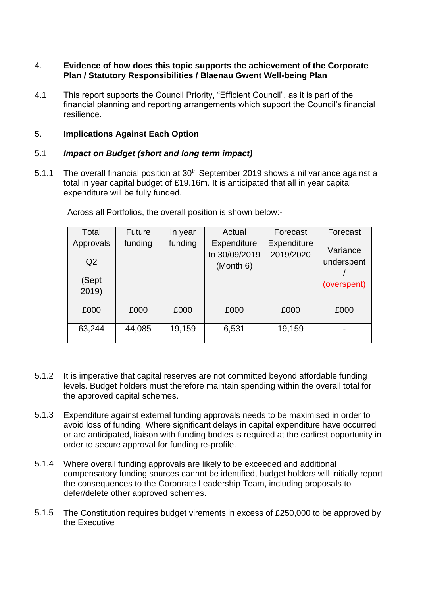#### 4. **Evidence of how does this topic supports the achievement of the Corporate Plan / Statutory Responsibilities / Blaenau Gwent Well-being Plan**

4.1 This report supports the Council Priority, "Efficient Council", as it is part of the financial planning and reporting arrangements which support the Council's financial resilience.

## 5. **Implications Against Each Option**

#### 5.1 *Impact on Budget (short and long term impact)*

5.1.1 The overall financial position at 30<sup>th</sup> September 2019 shows a nil variance against a total in year capital budget of £19.16m. It is anticipated that all in year capital expenditure will be fully funded.

| Total                       | <b>Future</b> | In year | Actual                                    | Forecast                 | Forecast               |
|-----------------------------|---------------|---------|-------------------------------------------|--------------------------|------------------------|
| Approvals<br>Q <sub>2</sub> | funding       | funding | Expenditure<br>to 30/09/2019<br>(Month 6) | Expenditure<br>2019/2020 | Variance<br>underspent |
| (Sept<br>2019)              |               |         |                                           |                          | (overspent)            |
| £000                        | £000          | £000    | £000                                      | £000                     | £000                   |
| 63,244                      | 44,085        | 19,159  | 6,531                                     | 19,159                   |                        |

Across all Portfolios, the overall position is shown below:-

- 5.1.2 It is imperative that capital reserves are not committed beyond affordable funding levels. Budget holders must therefore maintain spending within the overall total for the approved capital schemes.
- 5.1.3 Expenditure against external funding approvals needs to be maximised in order to avoid loss of funding. Where significant delays in capital expenditure have occurred or are anticipated, liaison with funding bodies is required at the earliest opportunity in order to secure approval for funding re-profile.
- 5.1.4 Where overall funding approvals are likely to be exceeded and additional compensatory funding sources cannot be identified, budget holders will initially report the consequences to the Corporate Leadership Team, including proposals to defer/delete other approved schemes.
- 5.1.5 The Constitution requires budget virements in excess of £250,000 to be approved by the Executive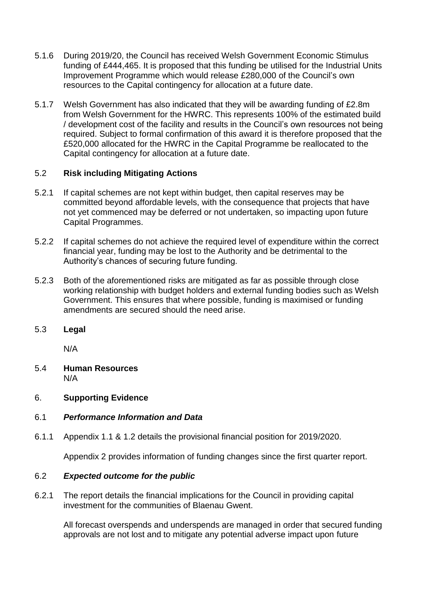- 5.1.6 During 2019/20, the Council has received Welsh Government Economic Stimulus funding of £444,465. It is proposed that this funding be utilised for the Industrial Units Improvement Programme which would release £280,000 of the Council's own resources to the Capital contingency for allocation at a future date.
- 5.1.7 Welsh Government has also indicated that they will be awarding funding of £2.8m from Welsh Government for the HWRC. This represents 100% of the estimated build / development cost of the facility and results in the Council's own resources not being required. Subject to formal confirmation of this award it is therefore proposed that the £520,000 allocated for the HWRC in the Capital Programme be reallocated to the Capital contingency for allocation at a future date.

## 5.2 **Risk including Mitigating Actions**

- 5.2.1 If capital schemes are not kept within budget, then capital reserves may be committed beyond affordable levels, with the consequence that projects that have not yet commenced may be deferred or not undertaken, so impacting upon future Capital Programmes.
- 5.2.2 If capital schemes do not achieve the required level of expenditure within the correct financial year, funding may be lost to the Authority and be detrimental to the Authority's chances of securing future funding.
- 5.2.3 Both of the aforementioned risks are mitigated as far as possible through close working relationship with budget holders and external funding bodies such as Welsh Government. This ensures that where possible, funding is maximised or funding amendments are secured should the need arise.
- 5.3 **Legal**

N/A

5.4 **Human Resources** N/A

# 6. **Supporting Evidence**

# 6.1 *Performance Information and Data*

6.1.1 Appendix 1.1 & 1.2 details the provisional financial position for 2019/2020.

Appendix 2 provides information of funding changes since the first quarter report.

#### 6.2 *Expected outcome for the public*

6.2.1 The report details the financial implications for the Council in providing capital investment for the communities of Blaenau Gwent.

All forecast overspends and underspends are managed in order that secured funding approvals are not lost and to mitigate any potential adverse impact upon future